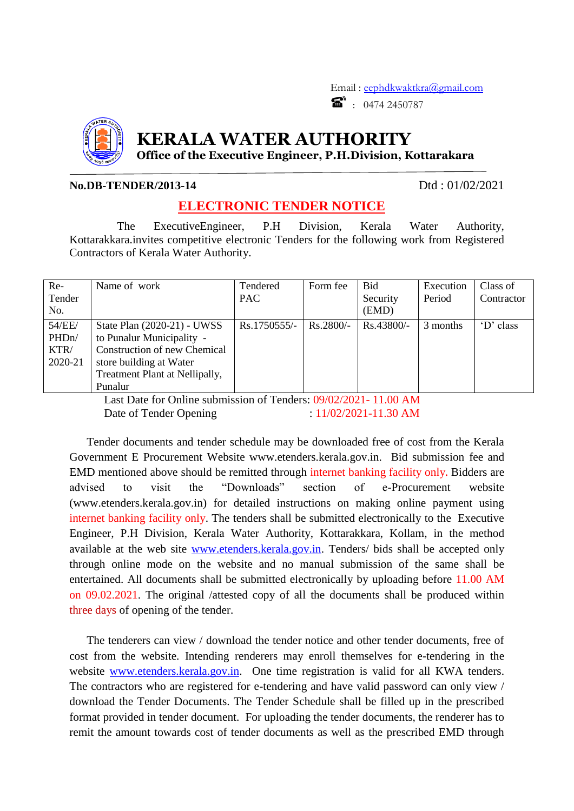Email : [eephdkwaktkra@gmail.com](mailto:eephdkwaktkra@gmail.com)  $\bullet$  : 0474 2450787



## **KERALA WATER AUTHORITY**

**Office of the Executive Engineer, P.H.Division, Kottarakara**

## **No.DB-TENDER/2013-14** Dtd : 01/02/2021

## **ELECTRONIC TENDER NOTICE**

The ExecutiveEngineer, P.H Division, Kerala Water Authority, Kottarakkara.invites competitive electronic Tenders for the following work from Registered Contractors of Kerala Water Authority.

| $Re-$              | Name of work                   | Tendered     | Form fee    | <b>Bid</b>   | Execution | Class of   |
|--------------------|--------------------------------|--------------|-------------|--------------|-----------|------------|
| Tender             |                                | <b>PAC</b>   |             | Security     | Period    | Contractor |
| No.                |                                |              |             | (EMD)        |           |            |
| 54/EE/             | State Plan (2020-21) - UWSS    | Rs.1750555/- | $Rs.2800/-$ | $Rs.43800/-$ | 3 months  | 'D' class  |
| PHD <sub>n</sub> / | to Punalur Municipality -      |              |             |              |           |            |
| KTR/               | Construction of new Chemical   |              |             |              |           |            |
| 2020-21            | store building at Water        |              |             |              |           |            |
|                    | Treatment Plant at Nellipally, |              |             |              |           |            |
|                    | Punalur                        |              |             |              |           |            |

Last Date for Online submission of Tenders: 09/02/2021- 11.00 AM Date of Tender Opening : 11/02/2021-11.30 AM

Tender documents and tender schedule may be downloaded free of cost from the Kerala Government E Procurement Website www.etenders.kerala.gov.in. Bid submission fee and EMD mentioned above should be remitted through internet banking facility only**.** Bidders are advised to visit the "Downloads" section of e-Procurement website (www.etenders.kerala.gov.in) for detailed instructions on making online payment using internet banking facility only. The tenders shall be submitted electronically to the Executive Engineer, P.H Division, Kerala Water Authority, Kottarakkara, Kollam, in the method available at the web site [www.etenders.kerala.gov.in.](file://Lenovo-pc/d/SY/TENDER/Tender%202018-19/TENDER%20168/www.etenders.kerala.gov.in) Tenders/ bids shall be accepted only through online mode on the website and no manual submission of the same shall be entertained. All documents shall be submitted electronically by uploading before 11.00 AM on 09.02.2021. The original /attested copy of all the documents shall be produced within three days of opening of the tender.

The tenderers can view / download the tender notice and other tender documents, free of cost from the website. Intending renderers may enroll themselves for e-tendering in the website [www.etenders.kerala.gov.in.](file://Lenovo-pc/d/SY/TENDER/Tender%202018-19/TENDER%20168/www.etenders.kerala.gov.in) One time registration is valid for all KWA tenders. The contractors who are registered for e-tendering and have valid password can only view / download the Tender Documents. The Tender Schedule shall be filled up in the prescribed format provided in tender document. For uploading the tender documents, the renderer has to remit the amount towards cost of tender documents as well as the prescribed EMD through